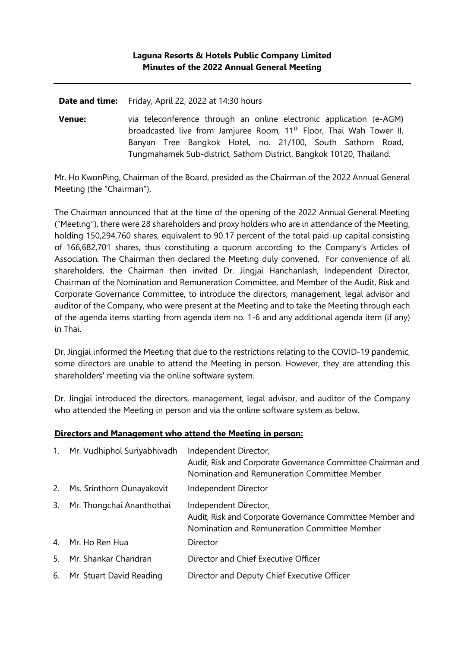**Date and time:** Friday, April 22, 2022 at 14:30 hours

**Venue:** via teleconference through an online electronic application (e-AGM) broadcasted live from Jamjuree Room, 11<sup>th</sup> Floor, Thai Wah Tower II, Banyan Tree Bangkok Hotel, no. 21/100, South Sathorn Road, Tungmahamek Sub-district, Sathorn District, Bangkok 10120, Thailand.

Mr. Ho KwonPing, Chairman of the Board, presided as the Chairman of the 2022 Annual General Meeting (the "Chairman").

The Chairman announced that at the time of the opening of the 2022 Annual General Meeting ("Meeting"), there were 28 shareholders and proxy holders who are in attendance of the Meeting, holding 150,294,760 shares, equivalent to 90.17 percent of the total paid-up capital consisting of 166,682,701 shares, thus constituting a quorum according to the Company's Articles of Association. The Chairman then declared the Meeting duly convened. For convenience of all shareholders, the Chairman then invited Dr. Jingjai Hanchanlash, Independent Director, Chairman of the Nomination and Remuneration Committee, and Member of the Audit, Risk and Corporate Governance Committee, to introduce the directors, management, legal advisor and auditor of the Company, who were present at the Meeting and to take the Meeting through each of the agenda items starting from agenda item no. 1-6 and any additional agenda item (if any) in Thai.

Dr. Jingjai informed the Meeting that due to the restrictions relating to the COVID-19 pandemic, some directors are unable to attend the Meeting in person. However, they are attending this shareholders' meeting via the online software system.

Dr. Jingjai introduced the directors, management, legal advisor, and auditor of the Company who attended the Meeting in person and via the online software system as below.

### **Directors and Management who attend the Meeting in person:**

| 1. | Mr. Vudhiphol Suriyabhivadh | Independent Director,                                                                                                              |
|----|-----------------------------|------------------------------------------------------------------------------------------------------------------------------------|
|    |                             | Audit, Risk and Corporate Governance Committee Chairman and<br>Nomination and Remuneration Committee Member                        |
| 2. | Ms. Srinthorn Ounayakovit   | Independent Director                                                                                                               |
| 3. | Mr. Thongchai Ananthothai   | Independent Director,<br>Audit, Risk and Corporate Governance Committee Member and<br>Nomination and Remuneration Committee Member |
|    | 4. Mr. Ho Ren Hua           | Director                                                                                                                           |
| 5. | Mr. Shankar Chandran        | Director and Chief Executive Officer                                                                                               |
|    | 6. Mr. Stuart David Reading | Director and Deputy Chief Executive Officer                                                                                        |
|    |                             |                                                                                                                                    |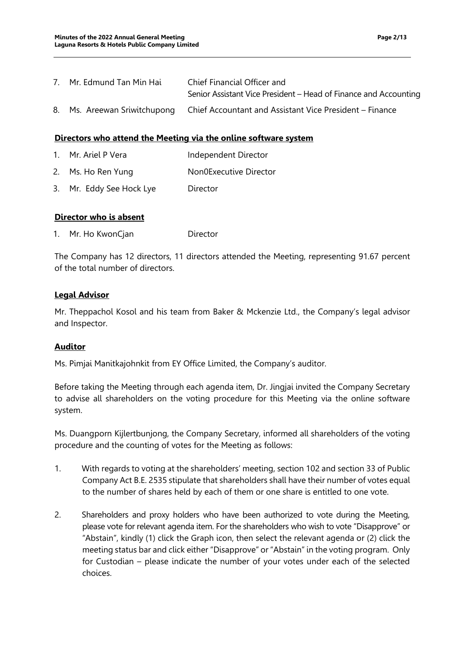| 7. Mr. Edmund Tan Min Hai | Chief Financial Officer and                                                          |
|---------------------------|--------------------------------------------------------------------------------------|
|                           | Senior Assistant Vice President – Head of Finance and Accounting                     |
|                           | 8. Ms. Areewan Sriwitchupong Chief Accountant and Assistant Vice President – Finance |

#### **Directors who attend the Meeting via the online software system**

- 1. Mr. Ariel P Vera Independent Director
- 2. Ms. Ho Ren Yung Non0Executive Director
- 3. Mr. Eddy See Hock Lye Director

#### **Director who is absent**

1. Mr. Ho KwonCjan Director

The Company has 12 directors, 11 directors attended the Meeting, representing 91.67 percent of the total number of directors.

### **Legal Advisor**

Mr. Theppachol Kosol and his team from Baker & Mckenzie Ltd., the Company's legal advisor and Inspector.

### **Auditor**

Ms. Pimjai Manitkajohnkit from EY Office Limited, the Company's auditor.

Before taking the Meeting through each agenda item, Dr. Jingjai invited the Company Secretary to advise all shareholders on the voting procedure for this Meeting via the online software system.

Ms. Duangporn Kijlertbunjong, the Company Secretary, informed all shareholders of the voting procedure and the counting of votes for the Meeting as follows:

- 1. With regards to voting at the shareholders' meeting, section 102 and section 33 of Public Company Act B.E. 2535 stipulate that shareholders shall have their number of votes equal to the number of shares held by each of them or one share is entitled to one vote.
- 2. Shareholders and proxy holders who have been authorized to vote during the Meeting, please vote for relevant agenda item. For the shareholders who wish to vote "Disapprove" or "Abstain", kindly (1) click the Graph icon, then select the relevant agenda or (2) click the meeting status bar and click either "Disapprove" or "Abstain" in the voting program. Only for Custodian – please indicate the number of your votes under each of the selected choices.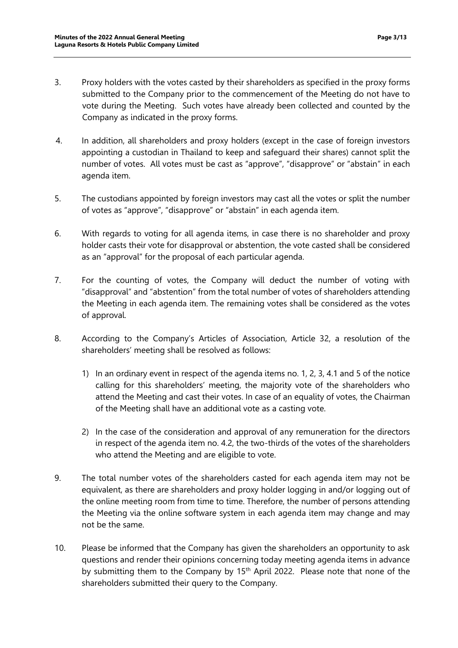- 3. Proxy holders with the votes casted by their shareholders as specified in the proxy forms submitted to the Company prior to the commencement of the Meeting do not have to vote during the Meeting. Such votes have already been collected and counted by the Company as indicated in the proxy forms.
- 4. In addition, all shareholders and proxy holders (except in the case of foreign investors appointing a custodian in Thailand to keep and safeguard their shares) cannot split the number of votes. All votes must be cast as "approve", "disapprove" or "abstain" in each agenda item.
- 5. The custodians appointed by foreign investors may cast all the votes or split the number of votes as "approve", "disapprove" or "abstain" in each agenda item.
- 6. With regards to voting for all agenda items, in case there is no shareholder and proxy holder casts their vote for disapproval or abstention, the vote casted shall be considered as an "approval" for the proposal of each particular agenda.
- 7. For the counting of votes, the Company will deduct the number of voting with "disapproval" and "abstention" from the total number of votes of shareholders attending the Meeting in each agenda item. The remaining votes shall be considered as the votes of approval.
- 8. According to the Company's Articles of Association, Article 32, a resolution of the shareholders' meeting shall be resolved as follows:
	- 1) In an ordinary event in respect of the agenda items no. 1, 2, 3, 4.1 and 5 of the notice calling for this shareholders' meeting, the majority vote of the shareholders who attend the Meeting and cast their votes. In case of an equality of votes, the Chairman of the Meeting shall have an additional vote as a casting vote.
	- 2) In the case of the consideration and approval of any remuneration for the directors in respect of the agenda item no. 4.2, the two-thirds of the votes of the shareholders who attend the Meeting and are eligible to vote.
- 9. The total number votes of the shareholders casted for each agenda item may not be equivalent, as there are shareholders and proxy holder logging in and/or logging out of the online meeting room from time to time. Therefore, the number of persons attending the Meeting via the online software system in each agenda item may change and may not be the same.
- 10. Please be informed that the Company has given the shareholders an opportunity to ask questions and render their opinions concerning today meeting agenda items in advance by submitting them to the Company by 15<sup>th</sup> April 2022. Please note that none of the shareholders submitted their query to the Company.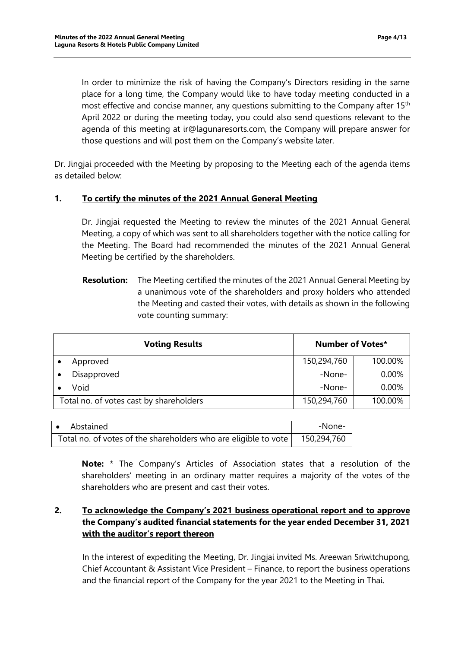In order to minimize the risk of having the Company's Directors residing in the same place for a long time, the Company would like to have today meeting conducted in a most effective and concise manner, any questions submitting to the Company after 15th April 2022 or during the meeting today, you could also send questions relevant to the agenda of this meeting at [ir@lagunaresorts.com,](mailto:ir@lagunaresorts.com) the Company will prepare answer for those questions and will post them on the Company's website later.

Dr. Jingjai proceeded with the Meeting by proposing to the Meeting each of the agenda items as detailed below:

### **1. To certify the minutes of the 2021 Annual General Meeting**

Dr. Jingjai requested the Meeting to review the minutes of the 2021 Annual General Meeting, a copy of which was sent to all shareholders together with the notice calling for the Meeting. The Board had recommended the minutes of the 2021 Annual General Meeting be certified by the shareholders.

**Resolution:** The Meeting certified the minutes of the 2021 Annual General Meeting by a unanimous vote of the shareholders and proxy holders who attended the Meeting and casted their votes, with details as shown in the following vote counting summary:

| <b>Voting Results</b> |                                         | <b>Number of Votes*</b> |          |
|-----------------------|-----------------------------------------|-------------------------|----------|
|                       | Approved                                | 150,294,760             | 100.00%  |
|                       | Disapproved                             | -None-                  | $0.00\%$ |
|                       | Void                                    | -None-                  | $0.00\%$ |
|                       | Total no. of votes cast by shareholders | 150,294,760             | 100.00%  |

| • Abstained                                                     | -None-      |
|-----------------------------------------------------------------|-------------|
| Total no. of votes of the shareholders who are eligible to vote | 150,294,760 |

**Note:** \* The Company's Articles of Association states that a resolution of the shareholders' meeting in an ordinary matter requires a majority of the votes of the shareholders who are present and cast their votes.

## **2. To acknowledge the Company's 2021 business operational report and to approve the Company's audited financial statements for the year ended December 31, 2021 with the auditor's report thereon**

In the interest of expediting the Meeting, Dr. Jingjai invited Ms. Areewan Sriwitchupong, Chief Accountant & Assistant Vice President – Finance, to report the business operations and the financial report of the Company for the year 2021 to the Meeting in Thai.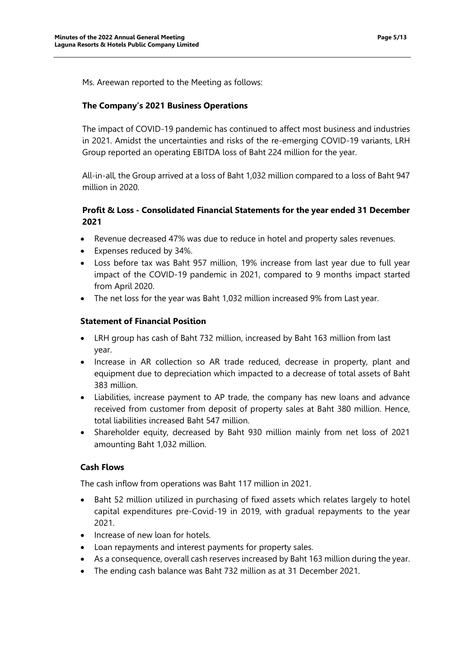Ms. Areewan reported to the Meeting as follows:

### **The Company's 2021 Business Operations**

The impact of COVID-19 pandemic has continued to affect most business and industries in 2021. Amidst the uncertainties and risks of the re-emerging COVID-19 variants, LRH Group reported an operating EBITDA loss of Baht 224 million for the year.

All-in-all, the Group arrived at a loss of Baht 1,032 million compared to a loss of Baht 947 million in 2020.

## **Profit & Loss - Consolidated Financial Statements for the year ended 31 December 2021**

- Revenue decreased 47% was due to reduce in hotel and property sales revenues.
- Expenses reduced by 34%.
- Loss before tax was Baht 957 million, 19% increase from last year due to full year impact of the COVID-19 pandemic in 2021, compared to 9 months impact started from April 2020.
- The net loss for the year was Baht 1,032 million increased 9% from Last year.

#### **Statement of Financial Position**

- LRH group has cash of Baht 732 million, increased by Baht 163 million from last year.
- Increase in AR collection so AR trade reduced, decrease in property, plant and equipment due to depreciation which impacted to a decrease of total assets of Baht 383 million.
- Liabilities, increase payment to AP trade, the company has new loans and advance received from customer from deposit of property sales at Baht 380 million. Hence, total liabilities increased Baht 547 million.
- Shareholder equity, decreased by Baht 930 million mainly from net loss of 2021 amounting Baht 1,032 million.

### **Cash Flows**

The cash inflow from operations was Baht 117 million in 2021.

- Baht 52 million utilized in purchasing of fixed assets which relates largely to hotel capital expenditures pre-Covid-19 in 2019, with gradual repayments to the year 2021.
- Increase of new loan for hotels.
- Loan repayments and interest payments for property sales.
- As a consequence, overall cash reserves increased by Baht 163 million during the year.
- The ending cash balance was Baht 732 million as at 31 December 2021.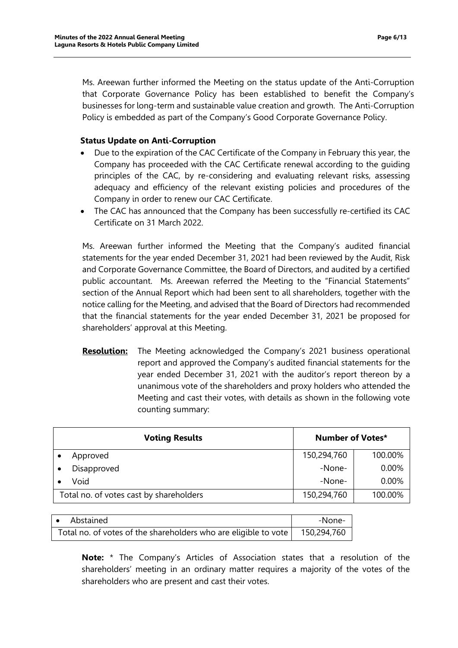Ms. Areewan further informed the Meeting on the status update of the Anti-Corruption that Corporate Governance Policy has been established to benefit the Company's businesses for long-term and sustainable value creation and growth. The Anti-Corruption Policy is embedded as part of the Company's Good Corporate Governance Policy.

### **Status Update on Anti-Corruption**

- Due to the expiration of the CAC Certificate of the Company in February this year, the Company has proceeded with the CAC Certificate renewal according to the guiding principles of the CAC, by re-considering and evaluating relevant risks, assessing adequacy and efficiency of the relevant existing policies and procedures of the Company in order to renew our CAC Certificate.
- The CAC has announced that the Company has been successfully re-certified its CAC Certificate on 31 March 2022.

Ms. Areewan further informed the Meeting that the Company's audited financial statements for the year ended December 31, 2021 had been reviewed by the Audit, Risk and Corporate Governance Committee, the Board of Directors, and audited by a certified public accountant. Ms. Areewan referred the Meeting to the "Financial Statements" section of the Annual Report which had been sent to all shareholders, together with the notice calling for the Meeting, and advised that the Board of Directors had recommended that the financial statements for the year ended December 31, 2021 be proposed for shareholders' approval at this Meeting.

**Resolution:** The Meeting acknowledged the Company's 2021 business operational report and approved the Company's audited financial statements for the year ended December 31, 2021 with the auditor's report thereon by a unanimous vote of the shareholders and proxy holders who attended the Meeting and cast their votes, with details as shown in the following vote counting summary:

| <b>Voting Results</b>                   | <b>Number of Votes*</b> |          |
|-----------------------------------------|-------------------------|----------|
| Approved                                | 150,294,760             | 100.00%  |
| Disapproved                             | -None-                  | $0.00\%$ |
| Void                                    | -None-                  | $0.00\%$ |
| Total no. of votes cast by shareholders | 150,294,760             | 100.00%  |

| Abstained<br>∣ ●                                                | -None-      |
|-----------------------------------------------------------------|-------------|
| Total no. of votes of the shareholders who are eligible to vote | 150,294,760 |

**Note:** \* The Company's Articles of Association states that a resolution of the shareholders' meeting in an ordinary matter requires a majority of the votes of the shareholders who are present and cast their votes.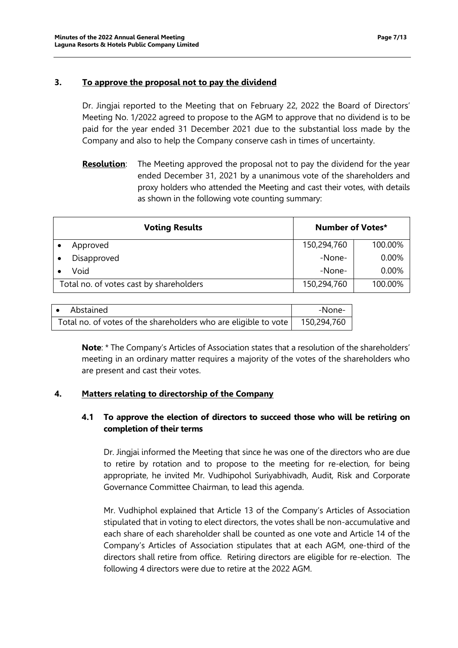### **3. To approve the proposal not to pay the dividend**

Dr. Jingjai reported to the Meeting that on February 22, 2022 the Board of Directors' Meeting No. 1/2022 agreed to propose to the AGM to approve that no dividend is to be paid for the year ended 31 December 2021 due to the substantial loss made by the Company and also to help the Company conserve cash in times of uncertainty.

**Resolution**: The Meeting approved the proposal not to pay the dividend for the year ended December 31, 2021 by a unanimous vote of the shareholders and proxy holders who attended the Meeting and cast their votes, with details as shown in the following vote counting summary:

| <b>Voting Results</b>                   | <b>Number of Votes*</b> |          |
|-----------------------------------------|-------------------------|----------|
| Approved                                | 150,294,760             | 100.00%  |
| Disapproved                             | -None-                  | $0.00\%$ |
| Void                                    | -None-                  | $0.00\%$ |
| Total no. of votes cast by shareholders | 150,294,760             | 100.00%  |

| • Abstained                                                     | -None-      |
|-----------------------------------------------------------------|-------------|
| Total no. of votes of the shareholders who are eligible to vote | 150,294,760 |

**Note**: \* The Company's Articles of Association states that a resolution of the shareholders' meeting in an ordinary matter requires a majority of the votes of the shareholders who are present and cast their votes.

## **4. Matters relating to directorship of the Company**

## **4.1 To approve the election of directors to succeed those who will be retiring on completion of their terms**

Dr. Jingjai informed the Meeting that since he was one of the directors who are due to retire by rotation and to propose to the meeting for re-election, for being appropriate, he invited Mr. Vudhipohol Suriyabhivadh, Audit, Risk and Corporate Governance Committee Chairman, to lead this agenda.

Mr. Vudhiphol explained that Article 13 of the Company's Articles of Association stipulated that in voting to elect directors, the votes shall be non-accumulative and each share of each shareholder shall be counted as one vote and Article 14 of the Company's Articles of Association stipulates that at each AGM, one-third of the directors shall retire from office. Retiring directors are eligible for re-election. The following 4 directors were due to retire at the 2022 AGM.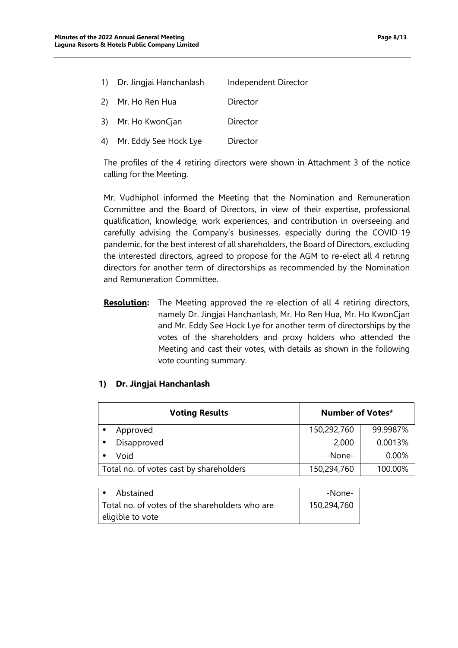| 1) Dr. Jingjai Hanchanlash | Independent Director |
|----------------------------|----------------------|
| 2) Mr. Ho Ren Hua          | Director             |
| 3) Mr. Ho KwonCjan         | Director             |
| 4) Mr. Eddy See Hock Lye   | Director             |

The profiles of the 4 retiring directors were shown in Attachment 3 of the notice calling for the Meeting.

Mr. Vudhiphol informed the Meeting that the Nomination and Remuneration Committee and the Board of Directors, in view of their expertise, professional qualification, knowledge, work experiences, and contribution in overseeing and carefully advising the Company's businesses, especially during the COVID-19 pandemic, for the best interest of all shareholders, the Board of Directors, excluding the interested directors, agreed to propose for the AGM to re-elect all 4 retiring directors for another term of directorships as recommended by the Nomination and Remuneration Committee.

**Resolution:** The Meeting approved the re-election of all 4 retiring directors, namely Dr. Jingjai Hanchanlash, Mr. Ho Ren Hua, Mr. Ho KwonCjan and Mr. Eddy See Hock Lye for another term of directorships by the votes of the shareholders and proxy holders who attended the Meeting and cast their votes, with details as shown in the following vote counting summary.

### **1) Dr. Jingjai Hanchanlash**

| <b>Voting Results</b>                   | <b>Number of Votes*</b> |          |
|-----------------------------------------|-------------------------|----------|
| Approved                                | 150,292,760             | 99.9987% |
| Disapproved                             | 2,000                   | 0.0013%  |
| Void                                    | -None-                  | 0.00%    |
| Total no. of votes cast by shareholders | 150,294,760             | 100.00%  |

| Abstained                                      | -None-      |
|------------------------------------------------|-------------|
| Total no. of votes of the shareholders who are | 150,294,760 |
| eligible to vote                               |             |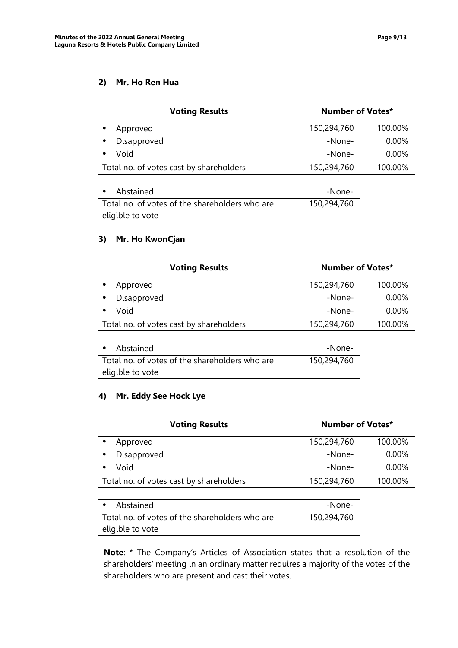## **2) Mr. Ho Ren Hua**

| <b>Voting Results</b>                   | <b>Number of Votes*</b> |         |
|-----------------------------------------|-------------------------|---------|
| Approved                                | 150,294,760             | 100.00% |
| Disapproved                             | -None-                  | 0.00%   |
| Void                                    | -None-                  | 0.00%   |
| Total no. of votes cast by shareholders | 150,294,760             | 100.00% |

| Abstained                                      | -None-      |
|------------------------------------------------|-------------|
| Total no, of votes of the shareholders who are | 150,294,760 |
| eligible to vote                               |             |

# **3) Mr. Ho KwonCjan**

| <b>Voting Results</b>                   | <b>Number of Votes*</b> |         |
|-----------------------------------------|-------------------------|---------|
| Approved                                | 150,294,760             | 100.00% |
| Disapproved                             | -None-                  | 0.00%   |
| Void                                    | -None-                  | 0.00%   |
| Total no. of votes cast by shareholders | 150,294,760             | 100.00% |

| Abstained                                      | -None-      |
|------------------------------------------------|-------------|
| Total no, of votes of the shareholders who are | 150,294,760 |
| eligible to vote                               |             |

## **4) Mr. Eddy See Hock Lye**

| <b>Number of Votes*</b><br><b>Voting Results</b> |             |         |
|--------------------------------------------------|-------------|---------|
| Approved                                         | 150,294,760 | 100.00% |
| Disapproved                                      | -None-      | 0.00%   |
| Void                                             | -None-      | 0.00%   |
| Total no. of votes cast by shareholders          | 150,294,760 | 100.00% |

| Abstained                                      | -None-      |
|------------------------------------------------|-------------|
| Total no. of votes of the shareholders who are | 150,294,760 |
| eligible to vote                               |             |

**Note**: \* The Company's Articles of Association states that a resolution of the shareholders' meeting in an ordinary matter requires a majority of the votes of the shareholders who are present and cast their votes.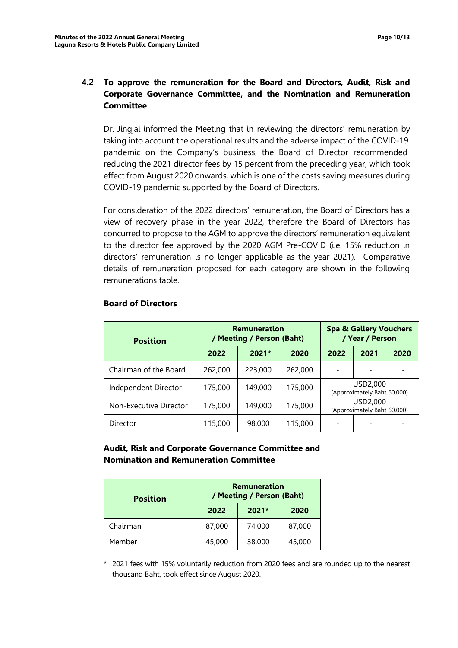# **4.2 To approve the remuneration for the Board and Directors, Audit, Risk and Corporate Governance Committee, and the Nomination and Remuneration Committee**

Dr. Jingjai informed the Meeting that in reviewing the directors' remuneration by taking into account the operational results and the adverse impact of the COVID-19 pandemic on the Company's business, the Board of Director recommended reducing the 2021 director fees by 15 percent from the preceding year, which took effect from August 2020 onwards, which is one of the costs saving measures during COVID-19 pandemic supported by the Board of Directors.

For consideration of the 2022 directors' remuneration, the Board of Directors has a view of recovery phase in the year 2022, therefore the Board of Directors has concurred to propose to the AGM to approve the directors' remuneration equivalent to the director fee approved by the 2020 AGM Pre-COVID (i.e. 15% reduction in directors' remuneration is no longer applicable as the year 2021). Comparative details of remuneration proposed for each category are shown in the following remunerations table.

| <b>Position</b>        | <b>Remuneration</b><br>/ Meeting / Person (Baht) |         | <b>Spa &amp; Gallery Vouchers</b><br>/ Year / Person |                                         |      |      |
|------------------------|--------------------------------------------------|---------|------------------------------------------------------|-----------------------------------------|------|------|
|                        | 2022                                             | $2021*$ | 2020                                                 | 2022                                    | 2021 | 2020 |
| Chairman of the Board  | 262,000                                          | 223,000 | 262,000                                              |                                         |      |      |
| Independent Director   | 175,000                                          | 149,000 | 175,000                                              | USD2,000<br>(Approximately Baht 60,000) |      |      |
| Non-Executive Director | 175,000                                          | 149,000 | 175,000                                              | USD2,000<br>(Approximately Baht 60,000) |      |      |
| Director               | 115,000                                          | 98,000  | 115,000                                              |                                         |      |      |

### **Board of Directors**

### **Audit, Risk and Corporate Governance Committee and Nomination and Remuneration Committee**

| <b>Position</b> | Remuneration<br>/ Meeting / Person (Baht) |        |        |  |
|-----------------|-------------------------------------------|--------|--------|--|
|                 | $2021*$<br>2022<br>2020                   |        |        |  |
| Chairman        | 87,000                                    | 74,000 | 87,000 |  |
| Member          | 45,000                                    | 38,000 | 45,000 |  |

\* 2021 fees with 15% voluntarily reduction from 2020 fees and are rounded up to the nearest thousand Baht, took effect since August 2020.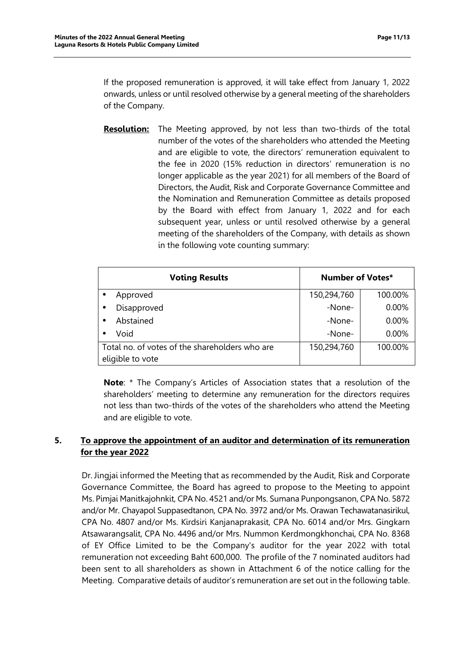If the proposed remuneration is approved, it will take effect from January 1, 2022 onwards, unless or until resolved otherwise by a general meeting of the shareholders of the Company.

**Resolution:** The Meeting approved, by not less than two-thirds of the total number of the votes of the shareholders who attended the Meeting and are eligible to vote, the directors' remuneration equivalent to the fee in 2020 (15% reduction in directors' remuneration is no longer applicable as the year 2021) for all members of the Board of Directors, the Audit, Risk and Corporate Governance Committee and the Nomination and Remuneration Committee as details proposed by the Board with effect from January 1, 2022 and for each subsequent year, unless or until resolved otherwise by a general meeting of the shareholders of the Company, with details as shown in the following vote counting summary:

| <b>Voting Results</b>                          | <b>Number of Votes*</b> |          |
|------------------------------------------------|-------------------------|----------|
| Approved                                       | 150,294,760             | 100.00%  |
| Disapproved<br>$\bullet$                       | -None-                  | 0.00%    |
| Abstained                                      | -None-                  | $0.00\%$ |
| Void                                           | -None-                  | 0.00%    |
| Total no. of votes of the shareholders who are | 150,294,760             | 100.00%  |
| eligible to vote                               |                         |          |

**Note**: \* The Company's Articles of Association states that a resolution of the shareholders' meeting to determine any remuneration for the directors requires not less than two-thirds of the votes of the shareholders who attend the Meeting and are eligible to vote.

# **5. To approve the appointment of an auditor and determination of its remuneration for the year 2022**

Dr. Jingjai informed the Meeting that as recommended by the Audit, Risk and Corporate Governance Committee, the Board has agreed to propose to the Meeting to appoint Ms. Pimjai Manitkajohnkit, CPA No. 4521 and/or Ms. Sumana Punpongsanon, CPA No. 5872 and/or Mr. Chayapol Suppasedtanon, CPA No. 3972 and/or Ms. Orawan Techawatanasirikul, CPA No. 4807 and/or Ms. Kirdsiri Kanjanaprakasit, CPA No. 6014 and/or Mrs. Gingkarn Atsawarangsalit, CPA No. 4496 and/or Mrs. Nummon Kerdmongkhonchai, CPA No. 8368 of EY Office Limited to be the Company's auditor for the year 2022 with total remuneration not exceeding Baht 600,000. The profile of the 7 nominated auditors had been sent to all shareholders as shown in Attachment 6 of the notice calling for the Meeting. Comparative details of auditor's remuneration are set out in the following table.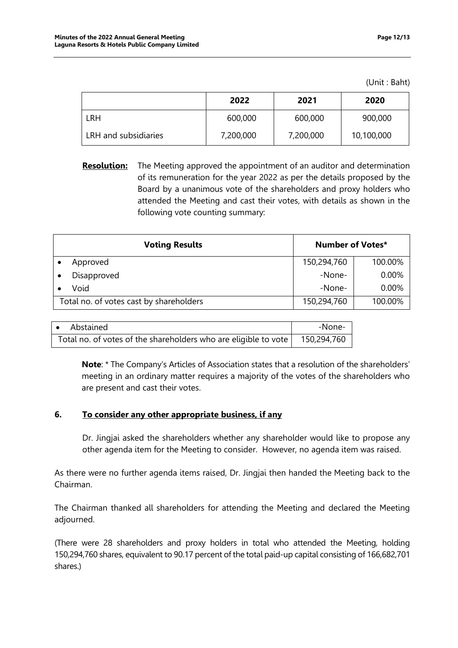(Unit : Baht)

|                      | 2022      | 2021      | 2020       |
|----------------------|-----------|-----------|------------|
| LRH                  | 600,000   | 600,000   | 900,000    |
| LRH and subsidiaries | 7,200,000 | 7,200,000 | 10,100,000 |

**Resolution:** The Meeting approved the appointment of an auditor and determination of its remuneration for the year 2022 as per the details proposed by the Board by a unanimous vote of the shareholders and proxy holders who attended the Meeting and cast their votes, with details as shown in the following vote counting summary:

| <b>Voting Results</b>                   | Number of Votes* |          |  |
|-----------------------------------------|------------------|----------|--|
| Approved                                | 150,294,760      | 100.00%  |  |
| Disapproved                             | -None-           | $0.00\%$ |  |
| Void                                    | -None-           | $0.00\%$ |  |
| Total no. of votes cast by shareholders | 150,294,760      | 100.00%  |  |

| • Abstained                                                     | -None-      |
|-----------------------------------------------------------------|-------------|
| Total no. of votes of the shareholders who are eligible to vote | 150,294,760 |

**Note**: \* The Company's Articles of Association states that a resolution of the shareholders' meeting in an ordinary matter requires a majority of the votes of the shareholders who are present and cast their votes.

### **6. To consider any other appropriate business, if any**

Dr. Jingjai asked the shareholders whether any shareholder would like to propose any other agenda item for the Meeting to consider. However, no agenda item was raised.

As there were no further agenda items raised, Dr. Jingjai then handed the Meeting back to the Chairman.

The Chairman thanked all shareholders for attending the Meeting and declared the Meeting adjourned.

(There were 28 shareholders and proxy holders in total who attended the Meeting, holding 150,294,760 shares, equivalent to 90.17 percent of the total paid-up capital consisting of 166,682,701 shares.)